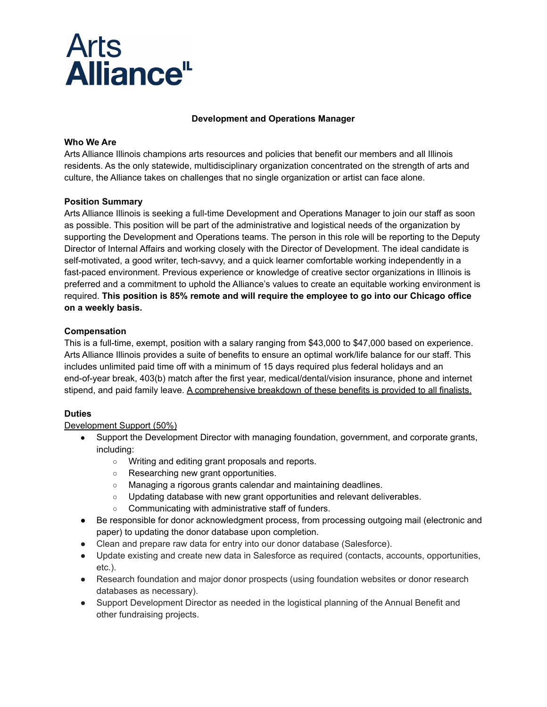

### **Development and Operations Manager**

### **Who We Are**

Arts Alliance Illinois champions arts resources and policies that benefit our members and all Illinois residents. As the only statewide, multidisciplinary organization concentrated on the strength of arts and culture, the Alliance takes on challenges that no single organization or artist can face alone.

### **Position Summary**

Arts Alliance Illinois is seeking a full-time Development and Operations Manager to join our staff as soon as possible. This position will be part of the administrative and logistical needs of the organization by supporting the Development and Operations teams. The person in this role will be reporting to the Deputy Director of Internal Affairs and working closely with the Director of Development. The ideal candidate is self-motivated, a good writer, tech-savvy, and a quick learner comfortable working independently in a fast-paced environment. Previous experience or knowledge of creative sector organizations in Illinois is preferred and a commitment to uphold the Alliance's values to create an equitable working environment is required. **This position is 85% remote and will require the employee to go into our Chicago office on a weekly basis.**

### **Compensation**

This is a full-time, exempt, position with a salary ranging from \$43,000 to \$47,000 based on experience. Arts Alliance Illinois provides a suite of benefits to ensure an optimal work/life balance for our staff. This includes unlimited paid time off with a minimum of 15 days required plus federal holidays and an end-of-year break, 403(b) match after the first year, medical/dental/vision insurance, phone and internet stipend, and paid family leave. A comprehensive breakdown of these benefits is provided to all finalists.

### **Duties**

Development Support (50%)

- Support the Development Director with managing foundation, government, and corporate grants, including:
	- Writing and editing grant proposals and reports.
	- Researching new grant opportunities.
	- Managing a rigorous grants calendar and maintaining deadlines.
	- o Updating database with new grant opportunities and relevant deliverables.
	- Communicating with administrative staff of funders.
- Be responsible for donor acknowledgment process, from processing outgoing mail (electronic and paper) to updating the donor database upon completion.
- Clean and prepare raw data for entry into our donor database (Salesforce).
- Update existing and create new data in Salesforce as required (contacts, accounts, opportunities, etc.).
- Research foundation and major donor prospects (using foundation websites or donor research databases as necessary).
- Support Development Director as needed in the logistical planning of the Annual Benefit and other fundraising projects.